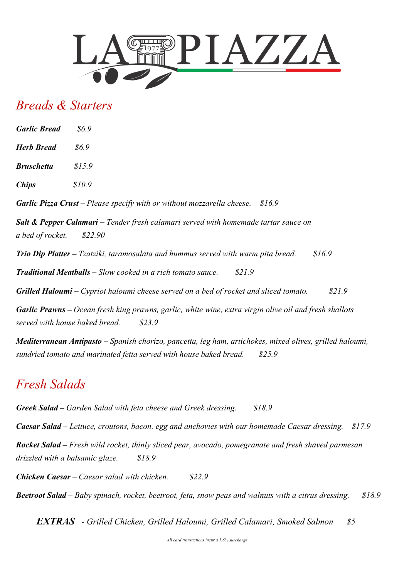

### *Breads & Starters*

| <b>Garlic Bread</b> | 86.9   |  |
|---------------------|--------|--|
| Herb Bread          | 86.9   |  |
| Bruschetta          | \$15.9 |  |
| <b>Chips</b>        | \$10.9 |  |
|                     |        |  |

*Garlic Pizza Crust – Please specify with or without mozzarella cheese. \$16.9* 

*Salt & Pepper Calamari – Tender fresh calamari served with homemade tartar sauce on a bed of rocket. \$22.90*

*Trio Dip Platter – Tzatziki, taramosalata and hummus served with warm pita bread. \$16.9* 

*Traditional Meatballs – Slow cooked in a rich tomato sauce. \$21.9*

*Grilled Haloumi – Cypriot haloumi cheese served on a bed of rocket and sliced tomato. \$21.9*

*Garlic Prawns – Ocean fresh king prawns, garlic, white wine, extra virgin olive oil and fresh shallots served with house baked bread. \$23.9* 

*Mediterranean Antipasto – Spanish chorizo, pancetta, leg ham, artichokes, mixed olives, grilled haloumi, sundried tomato and marinated fetta served with house baked bread. \$25.9* 

### *Fresh Salads*

*Greek Salad – Garden Salad with feta cheese and Greek dressing. \$18.9* 

*Caesar Salad – Lettuce, croutons, bacon, egg and anchovies with our homemade Caesar dressing. \$17.9* 

*Rocket Salad – Fresh wild rocket, thinly sliced pear, avocado, pomegranate and fresh shaved parmesan drizzled with a balsamic glaze. \$18.9*

*Chicken Caesar – Caesar salad with chicken. \$22.9*

*Beetroot Salad – Baby spinach, rocket, beetroot, feta, snow peas and walnuts with a citrus dressing. \$18.9*

 *EXTRAS - Grilled Chicken, Grilled Haloumi, Grilled Calamari, Smoked Salmon \$5*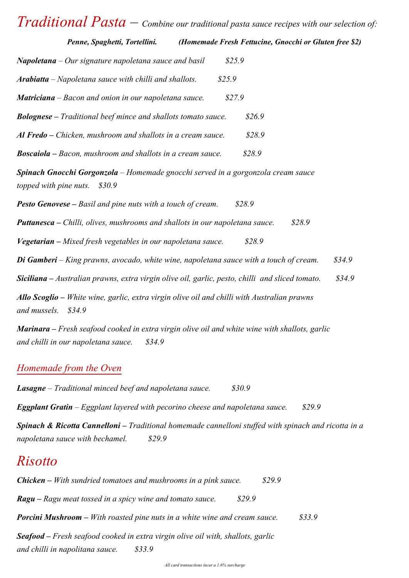# *Traditional Pasta – Combine our traditional pasta sauce recipes with our selection of:*

*Penne, Spaghetti, Tortellini. (Homemade Fresh Fettucine, Gnocchi or Gluten free \$2)*

| Napoletana – Our signature napoletana sauce and basil<br>\$25.9                                                       |
|-----------------------------------------------------------------------------------------------------------------------|
| Arabiatta – Napoletana sauce with chilli and shallots.<br>\$25.9                                                      |
| Matriciana - Bacon and onion in our napoletana sauce.<br>\$27.9                                                       |
| <b>Bolognese</b> – Traditional beef mince and shallots tomato sauce.<br>\$26.9                                        |
| Al Fredo – Chicken, mushroom and shallots in a cream sauce.<br>\$28.9                                                 |
| <b>Boscaiola</b> – Bacon, mushroom and shallots in a cream sauce.<br>\$28.9                                           |
| Spinach Gnocchi Gorgonzola - Homemade gnocchi served in a gorgonzola cream sauce<br>topped with pine nuts.<br>\$30.9  |
| <b>Pesto Genovese</b> – Basil and pine nuts with a touch of cream.<br>\$28.9                                          |
| \$28.9<br><b>Puttanesca</b> – Chilli, olives, mushrooms and shallots in our napoletana sauce.                         |
| Vegetarian – Mixed fresh vegetables in our napoletana sauce.<br>\$28.9                                                |
| \$34.9<br><b>Di Gamberi</b> – King prawns, avocado, white wine, napoletana sauce with a touch of cream.               |
| \$34.9<br>Siciliana - Australian prawns, extra virgin olive oil, garlic, pesto, chilli and sliced tomato.             |
| Allo Scoglio - White wine, garlic, extra virgin olive oil and chilli with Australian prawns<br>and mussels.<br>\$34.9 |
|                                                                                                                       |

*Marinara – Fresh seafood cooked in extra virgin olive oil and white wine with shallots, garlic and chilli in our napoletana sauce. \$34.9* 

#### *Homemade from the Oven*

*Lasagne – Traditional minced beef and napoletana sauce. \$30.9 Eggplant Gratin – Eggplant layered with pecorino cheese and napoletana sauce. \$29.9 Spinach & Ricotta Cannelloni – Traditional homemade cannelloni stuffed with spinach and ricotta in a napoletana sauce with bechamel. \$29.9*

### *Risotto*

*Chicken – With sundried tomatoes and mushrooms in a pink sauce. \$29.9 Ragu – Ragu meat tossed in a spicy wine and tomato sauce. \$29.9 Porcini Mushroom – With roasted pine nuts in a white wine and cream sauce. \$33.9 Seafood – Fresh seafood cooked in extra virgin olive oil with, shallots, garlic and chilli in napolitana sauce. \$33.9*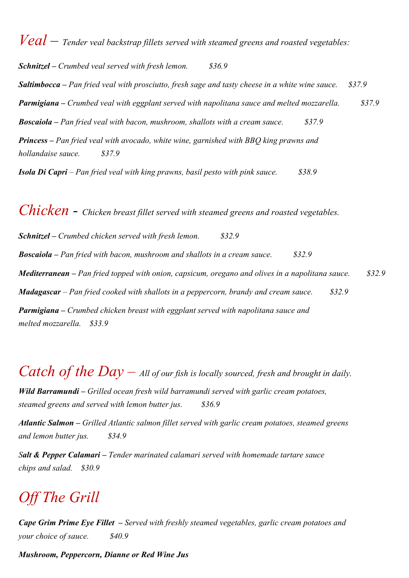*Veal – Tender veal backstrap fillets served with steamed greens and roasted vegetables: Schnitzel – Crumbed veal served with fresh lemon. \$36.9 Saltimbocca – Pan fried veal with prosciutto, fresh sage and tasty cheese in a white wine sauce. \$37.9 Parmigiana – Crumbed veal with eggplant served with napolitana sauce and melted mozzarella. \$37.9 Boscaiola – Pan fried veal with bacon, mushroom, shallots with a cream sauce. \$37.9 Princess – Pan fried veal with avocado, white wine, garnished with BBQ king prawns and hollandaise sauce. \$37.9*

*Isola Di Capri – Pan fried veal with king prawns, basil pesto with pink sauce. \$38.9* 

*Chicken - Chicken breast fillet served with steamed greens and roasted vegetables. Schnitzel – Crumbed chicken served with fresh lemon. \$32.9 Boscaiola – Pan fried with bacon, mushroom and shallots in a cream sauce. \$32.9 Mediterranean – Pan fried topped with onion, capsicum, oregano and olives in a napolitana sauce. \$32.9 Madagascar – Pan fried cooked with shallots in a peppercorn, brandy and cream sauce. \$32.9 Parmigiana – Crumbed chicken breast with eggplant served with napolitana sauce and melted mozzarella. \$33.9* 

# *Catch of the Day* – *All of our fish is locally sourced, fresh and brought in daily.*

*Wild Barramundi – Grilled ocean fresh wild barramundi served with garlic cream potatoes, steamed greens and served with lemon butter jus. \$36.9* 

*Atlantic Salmon – Grilled Atlantic salmon fillet served with garlic cream potatoes, steamed greens and lemon butter jus. \$34.9*

*Salt & Pepper Calamari – Tender marinated calamari served with homemade tartare sauce chips and salad. \$30.9* 

# *Off The Grill*

*Cape Grim Prime Eye Fillet – Served with freshly steamed vegetables, garlic cream potatoes and your choice of sauce. \$40.9* 

*Mushroom, Peppercorn, Dianne or Red Wine Jus*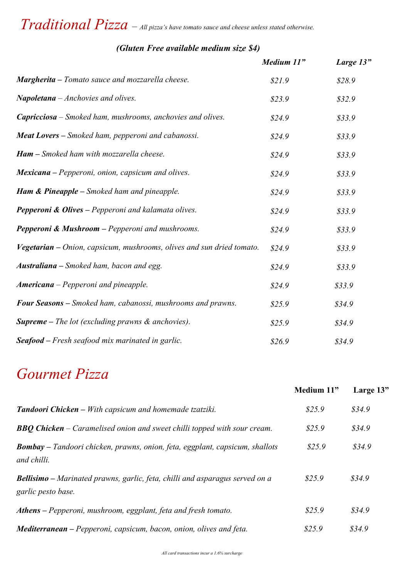# *Traditional Pizza – All pizza's have tomato sauce and cheese unless stated otherwise.*

|                                                                       | Medium 11" | Large 13" |
|-----------------------------------------------------------------------|------------|-----------|
| Margherita - Tomato sauce and mozzarella cheese.                      | \$21.9     | \$28.9    |
| Napoletana - Anchovies and olives.                                    | \$23.9     | \$32.9    |
| <b>Capricciosa</b> – Smoked ham, mushrooms, anchovies and olives.     | \$24.9     | \$33.9    |
| <b>Meat Lovers</b> – Smoked ham, pepperoni and cabanossi.             | \$24.9     | \$33.9    |
| <b>Ham</b> – Smoked ham with mozzarella cheese.                       | \$24.9     | \$33.9    |
| <b>Mexicana</b> – Pepperoni, onion, capsicum and olives.              | \$24.9     | \$33.9    |
| <b>Ham &amp; Pineapple</b> – Smoked ham and pineapple.                | \$24.9     | \$33.9    |
| <b>Pepperoni &amp; Olives</b> - Pepperoni and kalamata olives.        | \$24.9     | \$33.9    |
| <b>Pepperoni &amp; Mushroom</b> – Pepperoni and mushrooms.            | \$24.9     | \$33.9    |
| Vegetarian – Onion, capsicum, mushrooms, olives and sun dried tomato. | \$24.9     | \$33.9    |
| <b>Australiana</b> – Smoked ham, bacon and egg.                       | \$24.9     | \$33.9    |
| <b>Americana</b> – Pepperoni and pineapple.                           | \$24.9     | \$33.9    |
| Four Seasons - Smoked ham, cabanossi, mushrooms and prawns.           | \$25.9     | \$34.9    |
| <b>Supreme</b> – The lot (excluding prawns $\&$ anchovies).           | \$25.9     | \$34.9    |
| <b>Seafood</b> – Fresh seafood mix marinated in garlic.               | \$26.9     | \$34.9    |

#### *(Gluten Free available medium size \$4)*

# *Gourmet Pizza*

|                                                                                                           | Medium 11" | Large 13" |
|-----------------------------------------------------------------------------------------------------------|------------|-----------|
| <b>Tandoori Chicken</b> – With capsicum and homemade tzatziki.                                            | \$25.9     | \$34.9    |
| <b>BBQ Chicken</b> – Caramelised onion and sweet chilli topped with sour cream.                           | \$25.9     | \$34.9\$  |
| <b>Bombay</b> – Tandoori chicken, prawns, onion, feta, eggplant, capsicum, shallots<br>and chilli.        | \$25.9     | \$34.9    |
| <b>Bellisimo</b> – Marinated prawns, garlic, feta, chilli and asparagus served on a<br>garlic pesto base. | \$25.9     | \$34.9    |
| Athens – Pepperoni, mushroom, eggplant, feta and fresh tomato.                                            | \$25.9     | \$34.9    |
| Mediterranean - Pepperoni, capsicum, bacon, onion, olives and feta.                                       | \$25.9     | \$34.9    |